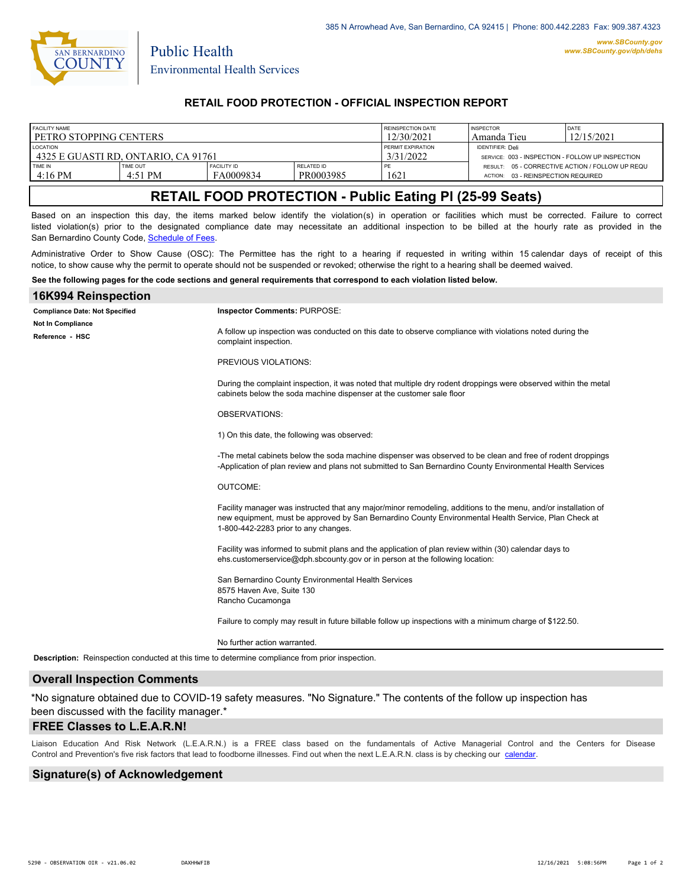

Public Health

## **RETAIL FOOD PROTECTION - OFFICIAL INSPECTION REPORT**

| <b>FACILITY NAME</b>                  |           |                    |                   | <b>REINSPECTION DATE</b> | <b>INSPECTOR</b>                                 | DATE                                            |
|---------------------------------------|-----------|--------------------|-------------------|--------------------------|--------------------------------------------------|-------------------------------------------------|
| l petro stopping centers              |           |                    |                   | 12/30/2021               | Amanda Tieu                                      | 12/15/2021                                      |
| <b>LOCATION</b>                       |           |                    |                   | PERMIT EXPIRATION        | <b>IDENTIFIER: Deli</b>                          |                                                 |
| 1 4325 E GUASTI RD. ONTARIO. CA 91761 |           |                    |                   | 3/31/2022                | SERVICE: 003 - INSPECTION - FOLLOW UP INSPECTION |                                                 |
| TIME IN                               | TIME OUT  | <b>FACILITY ID</b> | <b>RELATED ID</b> | PE                       | 03 - REINSPECTION REQUIRED                       | RESULT: 05 - CORRECTIVE ACTION / FOLLOW UP REQU |
| $4:16$ PM                             | $4.51$ PM | FA0009834          | PR0003985         | 1621                     | <b>ACTION:</b>                                   |                                                 |

# **RETAIL FOOD PROTECTION - Public Eating Pl (25-99 Seats)**

Based on an inspection this day, the items marked below identify the violation(s) in operation or facilities which must be corrected. Failure to correct listed violation(s) prior to the designated compliance date may necessitate an additional inspection to be billed at the hourly rate as provided in the San Bernardino County Code, Sc[hedule of Fees.](https://codelibrary.amlegal.com/codes/sanbernardino/latest/sanberncty_ca/0-0-0-122474#JD_16.0213B)

Administrative Order to Show Cause (OSC): The Permittee has the right to a hearing if requested in writing within 15 calendar days of receipt of this notice, to show cause why the permit to operate should not be suspended or revoked; otherwise the right to a hearing shall be deemed waived.

#### **See the following pages for the code sections and general requirements that correspond to each violation listed below.**

| 16K994 Reinspection                                                                             |                                                                                                                                                                                                                                                                |  |  |  |
|-------------------------------------------------------------------------------------------------|----------------------------------------------------------------------------------------------------------------------------------------------------------------------------------------------------------------------------------------------------------------|--|--|--|
| <b>Compliance Date: Not Specified</b>                                                           | Inspector Comments: PURPOSE:                                                                                                                                                                                                                                   |  |  |  |
| Not In Compliance<br>Reference - HSC                                                            | A follow up inspection was conducted on this date to observe compliance with violations noted during the<br>complaint inspection.                                                                                                                              |  |  |  |
|                                                                                                 | PREVIOUS VIOLATIONS:                                                                                                                                                                                                                                           |  |  |  |
|                                                                                                 | During the complaint inspection, it was noted that multiple dry rodent droppings were observed within the metal<br>cabinets below the soda machine dispenser at the customer sale floor                                                                        |  |  |  |
|                                                                                                 | <b>OBSERVATIONS:</b>                                                                                                                                                                                                                                           |  |  |  |
|                                                                                                 | 1) On this date, the following was observed:                                                                                                                                                                                                                   |  |  |  |
|                                                                                                 | -The metal cabinets below the soda machine dispenser was observed to be clean and free of rodent droppings<br>-Application of plan review and plans not submitted to San Bernardino County Environmental Health Services                                       |  |  |  |
|                                                                                                 | <b>OUTCOME:</b>                                                                                                                                                                                                                                                |  |  |  |
|                                                                                                 | Facility manager was instructed that any major/minor remodeling, additions to the menu, and/or installation of<br>new equipment, must be approved by San Bernardino County Environmental Health Service, Plan Check at<br>1-800-442-2283 prior to any changes. |  |  |  |
|                                                                                                 | Facility was informed to submit plans and the application of plan review within (30) calendar days to<br>ehs.customerservice@dph.sbcounty.gov or in person at the following location:                                                                          |  |  |  |
|                                                                                                 | San Bernardino County Environmental Health Services<br>8575 Haven Ave, Suite 130<br>Rancho Cucamonga                                                                                                                                                           |  |  |  |
|                                                                                                 | Failure to comply may result in future billable follow up inspections with a minimum charge of \$122.50.                                                                                                                                                       |  |  |  |
|                                                                                                 | No further action warranted.                                                                                                                                                                                                                                   |  |  |  |
| Description: Reinspection conducted at this time to determine compliance from prior inspection. |                                                                                                                                                                                                                                                                |  |  |  |
|                                                                                                 |                                                                                                                                                                                                                                                                |  |  |  |

### **Overall Inspection Comments**

\*No signature obtained due to COVID-19 safety measures. "No Signature." The contents of the follow up inspection has been discussed with the facility manager.\*

#### **FREE Classes to L.E.A.R.N!**

Liaison Education And Risk Network (L.E.A.R.N.) is a FREE class based on the fundamentals of Active Managerial Control and [the Centers](http://wp.sbcounty.gov/dph/events/) for Disease Control and Prevention's five risk factors that lead to foodborne illnesses. Find out when the next L.E.A.R.N. class is by checking our calendar.

### **Signature(s) of Acknowledgement**